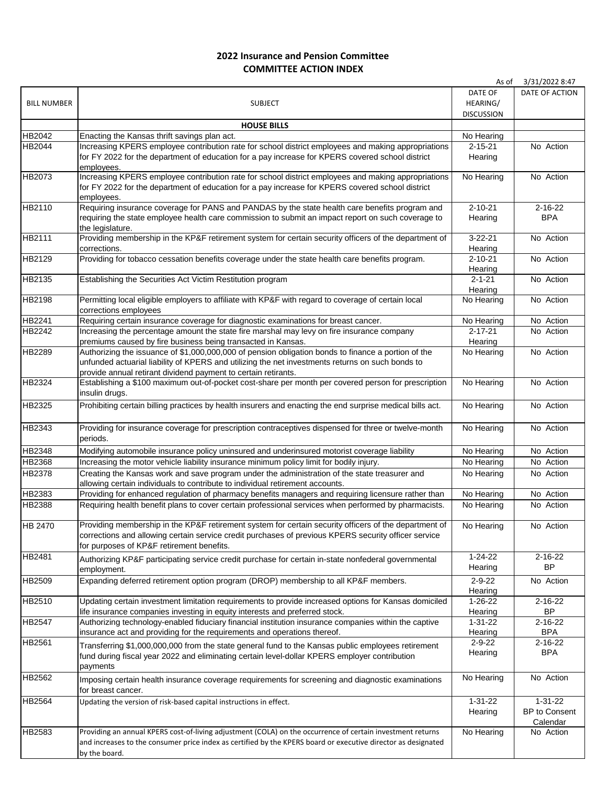## **2022 Insurance and Pension Committee COMMITTEE ACTION INDEX**

|                    |                                                                                                               | As of             | 3/31/2022 8:47 |
|--------------------|---------------------------------------------------------------------------------------------------------------|-------------------|----------------|
|                    |                                                                                                               | DATE OF           | DATE OF ACTION |
| <b>BILL NUMBER</b> | <b>SUBJECT</b>                                                                                                | HEARING/          |                |
|                    |                                                                                                               | <b>DISCUSSION</b> |                |
|                    | <b>HOUSE BILLS</b>                                                                                            |                   |                |
| HB2042             | Enacting the Kansas thrift savings plan act.                                                                  | No Hearing        |                |
| HB2044             | Increasing KPERS employee contribution rate for school district employees and making appropriations           | $2 - 15 - 21$     | No Action      |
|                    |                                                                                                               |                   |                |
|                    | for FY 2022 for the department of education for a pay increase for KPERS covered school district              | Hearing           |                |
|                    | employees.                                                                                                    |                   |                |
| HB2073             | Increasing KPERS employee contribution rate for school district employees and making appropriations           | No Hearing        | No Action      |
|                    | for FY 2022 for the department of education for a pay increase for KPERS covered school district              |                   |                |
|                    | employees.                                                                                                    |                   |                |
| HB2110             | Requiring insurance coverage for PANS and PANDAS by the state health care benefits program and                | $2 - 10 - 21$     | $2 - 16 - 22$  |
|                    | requiring the state employee health care commission to submit an impact report on such coverage to            | Hearing           | <b>BPA</b>     |
|                    | the legislature.                                                                                              |                   |                |
| HB2111             | Providing membership in the KP&F retirement system for certain security officers of the department of         | $3 - 22 - 21$     | No Action      |
|                    | corrections.                                                                                                  | Hearing           |                |
| HB2129             | Providing for tobacco cessation benefits coverage under the state health care benefits program.               | $2 - 10 - 21$     | No Action      |
|                    |                                                                                                               | Hearing           |                |
| HB2135             | Establishing the Securities Act Victim Restitution program                                                    | $2 - 1 - 21$      | No Action      |
|                    |                                                                                                               | Hearing           |                |
| HB2198             | Permitting local eligible employers to affiliate with KP&F with regard to coverage of certain local           | No Hearing        | No Action      |
|                    | corrections employees                                                                                         |                   |                |
| HB2241             | Requiring certain insurance coverage for diagnostic examinations for breast cancer.                           | No Hearing        | No Action      |
| HB2242             | Increasing the percentage amount the state fire marshal may levy on fire insurance company                    | $2 - 17 - 21$     | No Action      |
|                    | premiums caused by fire business being transacted in Kansas.                                                  | Hearing           |                |
| HB2289             | Authorizing the issuance of \$1,000,000,000 of pension obligation bonds to finance a portion of the           | No Hearing        | No Action      |
|                    | unfunded actuarial liability of KPERS and utilizing the net investments returns on such bonds to              |                   |                |
|                    |                                                                                                               |                   |                |
| HB2324             | provide annual retirant dividend payment to certain retirants.                                                | No Hearing        |                |
|                    | Establishing a \$100 maximum out-of-pocket cost-share per month per covered person for prescription           |                   | No Action      |
|                    | insulin drugs.                                                                                                |                   |                |
| HB2325             | Prohibiting certain billing practices by health insurers and enacting the end surprise medical bills act.     | No Hearing        | No Action      |
|                    |                                                                                                               |                   |                |
| HB2343             | Providing for insurance coverage for prescription contraceptives dispensed for three or twelve-month          | No Hearing        | No Action      |
|                    | periods.                                                                                                      |                   |                |
| HB2348             | Modifying automobile insurance policy uninsured and underinsured motorist coverage liability                  | No Hearing        | No Action      |
| HB2368             | Increasing the motor vehicle liability insurance minimum policy limit for bodily injury.                      | No Hearing        | No Action      |
| HB2378             | Creating the Kansas work and save program under the administration of the state treasurer and                 | No Hearing        | No Action      |
|                    |                                                                                                               |                   |                |
|                    | allowing certain individuals to contribute to individual retirement accounts.                                 |                   |                |
| HB2383             | Providing for enhanced regulation of pharmacy benefits managers and requiring licensure rather than           | No Hearing        | No Action      |
| <b>HB2388</b>      | Requiring health benefit plans to cover certain professional services when performed by pharmacists.          | No Hearing        | No Action      |
|                    |                                                                                                               |                   |                |
| <b>HB 2470</b>     | Providing membership in the KP&F retirement system for certain security officers of the department of         | No Hearing        | No Action      |
|                    | corrections and allowing certain service credit purchases of previous KPERS security officer service          |                   |                |
|                    | for purposes of KP&F retirement benefits.                                                                     |                   |                |
| HB2481             | Authorizing KP&F participating service credit purchase for certain in-state nonfederal governmental           | $1 - 24 - 22$     | $2 - 16 - 22$  |
|                    | employment.                                                                                                   | Hearing           | <b>BP</b>      |
| HB2509             | Expanding deferred retirement option program (DROP) membership to all KP&F members.                           | $2 - 9 - 22$      | No Action      |
|                    |                                                                                                               | Hearing           |                |
| HB2510             | Updating certain investment limitation requirements to provide increased options for Kansas domiciled         | $1 - 26 - 22$     | $2 - 16 - 22$  |
|                    | life insurance companies investing in equity interests and preferred stock.                                   | Hearing           | <b>BP</b>      |
| HB2547             | Authorizing technology-enabled fiduciary financial institution insurance companies within the captive         | $1 - 31 - 22$     | $2 - 16 - 22$  |
|                    | insurance act and providing for the requirements and operations thereof.                                      | Hearing           | <b>BPA</b>     |
| HB2561             |                                                                                                               | $2 - 9 - 22$      | $2 - 16 - 22$  |
|                    | Transferring \$1,000,000,000 from the state general fund to the Kansas public employees retirement            | Hearing           | <b>BPA</b>     |
|                    | fund during fiscal year 2022 and eliminating certain level-dollar KPERS employer contribution                 |                   |                |
|                    | payments                                                                                                      |                   |                |
| HB2562             | Imposing certain health insurance coverage requirements for screening and diagnostic examinations             | No Hearing        | No Action      |
|                    | for breast cancer.                                                                                            |                   |                |
| HB2564             | Updating the version of risk-based capital instructions in effect.                                            | $1 - 31 - 22$     | $1 - 31 - 22$  |
|                    |                                                                                                               | Hearing           | BP to Consent  |
|                    |                                                                                                               |                   | Calendar       |
| HB2583             | Providing an annual KPERS cost-of-living adjustment (COLA) on the occurrence of certain investment returns    | No Hearing        | No Action      |
|                    | and increases to the consumer price index as certified by the KPERS board or executive director as designated |                   |                |
|                    | by the board.                                                                                                 |                   |                |
|                    |                                                                                                               |                   |                |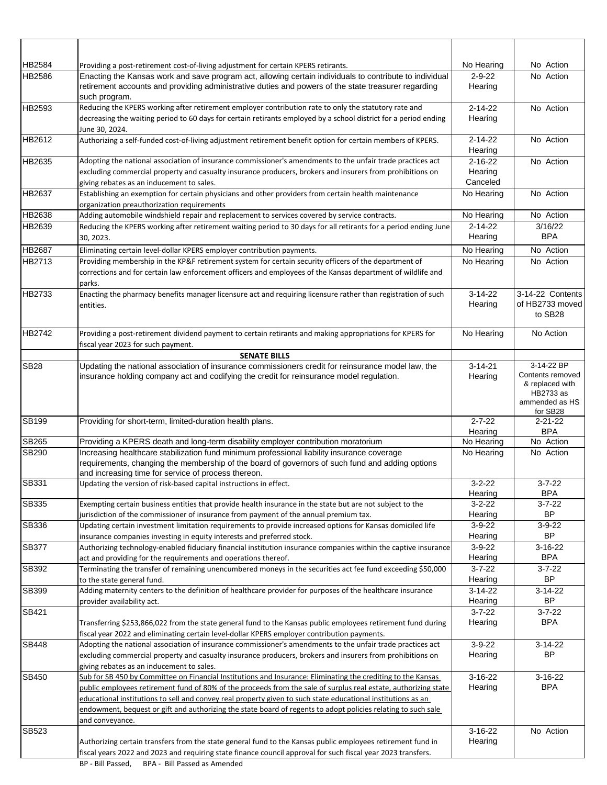| HB2584       | Providing a post-retirement cost-of-living adjustment for certain KPERS retirants.                                                                                                                                                                                                                                                                                                                                                                                                  | No Hearing                           | No Action                                                                      |
|--------------|-------------------------------------------------------------------------------------------------------------------------------------------------------------------------------------------------------------------------------------------------------------------------------------------------------------------------------------------------------------------------------------------------------------------------------------------------------------------------------------|--------------------------------------|--------------------------------------------------------------------------------|
| HB2586       | Enacting the Kansas work and save program act, allowing certain individuals to contribute to individual<br>retirement accounts and providing administrative duties and powers of the state treasurer regarding<br>such program.                                                                                                                                                                                                                                                     | $2 - 9 - 22$<br>Hearing              | No Action                                                                      |
| HB2593       | Reducing the KPERS working after retirement employer contribution rate to only the statutory rate and<br>decreasing the waiting period to 60 days for certain retirants employed by a school district for a period ending<br>June 30, 2024.                                                                                                                                                                                                                                         | $2 - 14 - 22$<br>Hearing             | No Action                                                                      |
| HB2612       | Authorizing a self-funded cost-of-living adjustment retirement benefit option for certain members of KPERS.                                                                                                                                                                                                                                                                                                                                                                         | $2 - 14 - 22$<br>Hearing             | No Action                                                                      |
| HB2635       | Adopting the national association of insurance commissioner's amendments to the unfair trade practices act<br>excluding commercial property and casualty insurance producers, brokers and insurers from prohibitions on<br>giving rebates as an inducement to sales.                                                                                                                                                                                                                | $2 - 16 - 22$<br>Hearing<br>Canceled | No Action                                                                      |
| HB2637       | Establishing an exemption for certain physicians and other providers from certain health maintenance<br>organization preauthorization requirements                                                                                                                                                                                                                                                                                                                                  | No Hearing                           | No Action                                                                      |
| HB2638       | Adding automobile windshield repair and replacement to services covered by service contracts.                                                                                                                                                                                                                                                                                                                                                                                       | No Hearing                           | No Action                                                                      |
| HB2639       | Reducing the KPERS working after retirement waiting period to 30 days for all retirants for a period ending June<br>30, 2023.                                                                                                                                                                                                                                                                                                                                                       | $2 - 14 - 22$<br>Hearing             | 3/16/22<br><b>BPA</b>                                                          |
| HB2687       | Eliminating certain level-dollar KPERS employer contribution payments.                                                                                                                                                                                                                                                                                                                                                                                                              | No Hearing                           | No Action                                                                      |
| HB2713       | Providing membership in the KP&F retirement system for certain security officers of the department of<br>corrections and for certain law enforcement officers and employees of the Kansas department of wildlife and<br>parks.                                                                                                                                                                                                                                                      | No Hearing                           | No Action                                                                      |
| HB2733       | Enacting the pharmacy benefits manager licensure act and requiring licensure rather than registration of such<br>entities.                                                                                                                                                                                                                                                                                                                                                          | $3-14-22$<br>Hearing                 | 3-14-22 Contents<br>of HB2733 moved<br>to SB28                                 |
| HB2742       | Providing a post-retirement dividend payment to certain retirants and making appropriations for KPERS for<br>fiscal year 2023 for such payment.                                                                                                                                                                                                                                                                                                                                     | No Hearing                           | No Action                                                                      |
|              | <b>SENATE BILLS</b>                                                                                                                                                                                                                                                                                                                                                                                                                                                                 |                                      | 3-14-22 BP                                                                     |
| <b>SB28</b>  | Updating the national association of insurance commissioners credit for reinsurance model law, the<br>insurance holding company act and codifying the credit for reinsurance model regulation.                                                                                                                                                                                                                                                                                      | $3 - 14 - 21$<br>Hearing             | Contents removed<br>& replaced with<br>HB2733 as<br>ammended as HS<br>for SB28 |
| <b>SB199</b> | Providing for short-term, limited-duration health plans.                                                                                                                                                                                                                                                                                                                                                                                                                            | $2 - 7 - 22$<br>Hearing              | $2 - 21 - 22$<br><b>BPA</b>                                                    |
| SB265        | Providing a KPERS death and long-term disability employer contribution moratorium                                                                                                                                                                                                                                                                                                                                                                                                   | No Hearing                           | No Action                                                                      |
| SB290        | Increasing healthcare stabilization fund minimum professional liability insurance coverage<br>requirements, changing the membership of the board of governors of such fund and adding options<br>and increasing time for service of process thereon.                                                                                                                                                                                                                                | No Hearing                           | No Action                                                                      |
| SB331        | Updating the version of risk-based capital instructions in effect.                                                                                                                                                                                                                                                                                                                                                                                                                  | $3 - 2 - 22$<br>Hearing              | $3 - 7 - 22$<br><b>BPA</b>                                                     |
| SB335        | Exempting certain business entities that provide health insurance in the state but are not subject to the<br>jurisdiction of the commissioner of insurance from payment of the annual premium tax.                                                                                                                                                                                                                                                                                  | $3 - 2 - 22$<br>Hearing              | $3 - 7 - 22$<br><b>BP</b>                                                      |
| SB336        | Updating certain investment limitation requirements to provide increased options for Kansas domiciled life<br>insurance companies investing in equity interests and preferred stock.                                                                                                                                                                                                                                                                                                | $3 - 9 - 22$<br>Hearing              | $3 - 9 - 22$<br>BP.                                                            |
| SB377        | Authorizing technology-enabled fiduciary financial institution insurance companies within the captive insurance<br>act and providing for the requirements and operations thereof.                                                                                                                                                                                                                                                                                                   | $3-9-22$<br>Hearing                  | $3-16-22$<br><b>BPA</b>                                                        |
| SB392        | Terminating the transfer of remaining unencumbered moneys in the securities act fee fund exceeding \$50,000<br>to the state general fund.                                                                                                                                                                                                                                                                                                                                           | $3 - 7 - 22$<br>Hearing              | $3 - 7 - 22$<br>BP                                                             |
| SB399        | Adding maternity centers to the definition of healthcare provider for purposes of the healthcare insurance<br>provider availability act.                                                                                                                                                                                                                                                                                                                                            | $3-14-22$<br>Hearing                 | $3-14-22$<br>BP                                                                |
| SB421        | Transferring \$253,866,022 from the state general fund to the Kansas public employees retirement fund during<br>fiscal year 2022 and eliminating certain level-dollar KPERS employer contribution payments.                                                                                                                                                                                                                                                                         | $3 - 7 - 22$<br>Hearing              | $3 - 7 - 22$<br><b>BPA</b>                                                     |
| <b>SB448</b> | Adopting the national association of insurance commissioner's amendments to the unfair trade practices act<br>excluding commercial property and casualty insurance producers, brokers and insurers from prohibitions on<br>giving rebates as an inducement to sales.                                                                                                                                                                                                                | $3 - 9 - 22$<br>Hearing              | $3-14-22$<br><b>BP</b>                                                         |
| SB450        | Sub for SB 450 by Committee on Financial Institutions and Insurance: Eliminating the crediting to the Kansas<br>public employees retirement fund of 80% of the proceeds from the sale of surplus real estate, authorizing state<br>educational institutions to sell and convey real property given to such state educational institutions as an<br>endowment, bequest or gift and authorizing the state board of regents to adopt policies relating to such sale<br>and conveyance. | $3-16-22$<br>Hearing                 | $3-16-22$<br><b>BPA</b>                                                        |
| SB523        | Authorizing certain transfers from the state general fund to the Kansas public employees retirement fund in<br>fiscal years 2022 and 2023 and requiring state finance council approval for such fiscal year 2023 transfers.                                                                                                                                                                                                                                                         | $3-16-22$<br>Hearing                 | No Action                                                                      |
|              |                                                                                                                                                                                                                                                                                                                                                                                                                                                                                     |                                      |                                                                                |